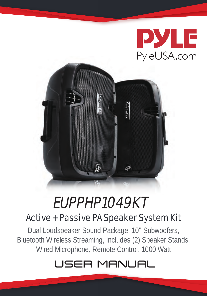



## EUPPHP1049KT

### Active + Passive PA Speaker System Kit

Dual Loudspeaker Sound Package, 10'' Subwoofers, Bluetooth Wireless Streaming, Includes (2) Speaker Stands, Wired Microphone, Remote Control, 1000 Watt

## USER MANUAL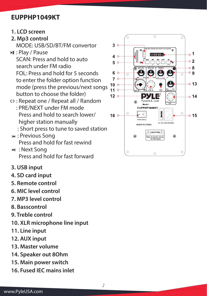#### **EUPPHP1049KT**

**1. LCD screen**

#### **2. Mp3 control**

MODE: USB/SD/BT/FM convertor

**I** : Play / Pause

 SCAN: Press and hold to auto search under FM radio FOL: Press and hold for 5 seconds to enter the folder option function mode (press the previous/next songs button to choose the folder)

- : Repeat one / Repeat all / Random : PRE/NEXT under FM mode Press and hold to search lower/ higher station manually
	- : Short press to tune to saved station
- **Kg**: Previous Song Press and hold for fast rewind
- **M** : Next Song Press and hold for fast forward
- **3. USB input**
- **4. SD card input**
- **5. Remote control**
- **6. MIC level control**
- **7. MP3 level control**
- **8. Basscontrol**
- **9. Treble control**
- **10. XLR microphone line input**
- **11. Line input**
- **12. AUX input**
- **13. Master volume**
- **14. Speaker out 8Ohm**
- **15. Main power switch**
- **16. Fused IEC mains inlet**

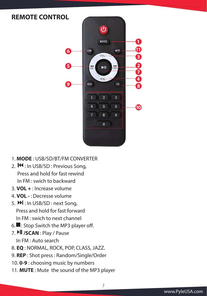#### **REMOTE CONTROL**



*3*

- 1. **MODE** : USB/SD/BT/FM CONVERTER
- 2. **IM**: In USB/SD: Previous Song, Press and hold for fast rewind In FM : swich to backward
- 3. **VOL +** : Increase volume
- 4. **VOL -** : Decresse volume
- 5.  $M$ : In USB/SD: next Song, Press and hold for fast forward In FM : swich to next channel
- $6.$ : Stop Switch the MP3 player off.
- 7. **Ill /SCAN** : Play / Pause In FM : Auto search
- 8. **EQ** : NORMAL, ROCK, POP, CLASS, JAZZ.
- 9. **REP** : Shot press : Random/Single/Order
- 10. **0-9** : choosing music by numbers
- 11. **MUTE** : Mute the sound of the MP3 player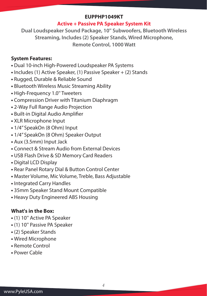#### **EUPPHP1049KT**

#### **Active + Passive PA Speaker System Kit**

**Dual Loudspeaker Sound Package, 10'' Subwoofers, Bluetooth Wireless Streaming, Includes (2) Speaker Stands, Wired Microphone, Remote Control, 1000 Watt**

#### **System Features:**

- Dual 10-inch High-Powered Loudspeaker PA Systems
- Includes (1) Active Speaker, (1) Passive Speaker + (2) Stands
- Rugged, Durable & Reliable Sound
- Bluetooth Wireless Music Streaming Ability
- High-Frequency 1.0'' Tweeters
- Compression Driver with Titanium Diaphragm
- 2-Way Full Range Audio Projection
- Built-in Digital Audio Amplifier
- XLR Microphone Input
- 1/4'' SpeakOn (8 Ohm) Input
- 1/4'' SpeakOn (8 Ohm) Speaker Output
- Aux (3.5mm) Input Jack
- Connect & Stream Audio from External Devices
- USB Flash Drive & SD Memory Card Readers
- Digital LCD Display
- Rear Panel Rotary Dial & Button Control Center
- Master Volume, Mic Volume, Treble, Bass Adjustable
- Integrated Carry Handles
- 35mm Speaker Stand Mount Compatible
- Heavy Duty Engineered ABS Housing

#### **What's in the Box:**

- (1) 10'' Active PA Speaker
- (1) 10'' Passive PA Speaker
- (2) Speaker Stands
- Wired Microphone
- Remote Control
- Power Cable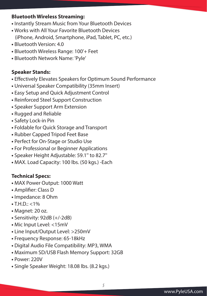#### **Bluetooth Wireless Streaming:**

- Instantly Stream Music from Your Bluetooth Devices
- Works with All Your Favorite Bluetooth Devices (iPhone, Android, Smartphone, iPad, Tablet, PC, etc.)
- Bluetooth Version: 4.0
- Bluetooth Wireless Range: 100'+ Feet
- Bluetooth Network Name: 'Pyle'

#### **Speaker Stands:**

- Effectively Elevates Speakers for Optimum Sound Performance
- Universal Speaker Compatibility (35mm Insert)
- Easy Setup and Quick Adjustment Control
- Reinforced Steel Support Construction
- Speaker Support Arm Extension
- Rugged and Reliable
- Safety Lock-in Pin
- Foldable for Quick Storage and Transport
- Rubber Capped Tripod Feet Base
- Perfect for On-Stage or Studio Use
- For Professional or Beginner Applications
- Speaker Height Adjustable: 59.1'' to 82.7''
- MAX. Load Capacity: 100 lbs. (50 kgs.) -Each

#### **Technical Specs:**

- MAX Power Output: 1000 Watt
- Amplifier: Class D
- Impedance: 8 Ohm
- $\bullet$  T.H.D.: <1%
- Magnet: 20 oz.
- Sensitivity: 92dB (+/-2dB)
- Mic Input Level: <15mV
- Line Input/Output Level: >250mV
- Frequency Response: 65-18kHz
- Digital Audio File Compatibility: MP3, WMA
- Maximum SD/USB Flash Memory Support: 32GB
- Power: 220V
- Single Speaker Weight: 18.08 lbs. (8.2 kgs.)